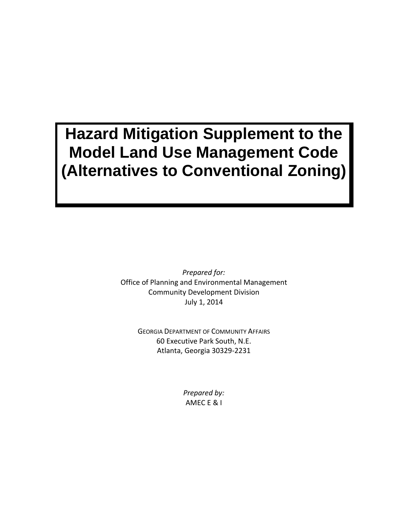# **Hazard Mitigation Supplement to the Model Land Use Management Code (Alternatives to Conventional Zoning)**

*Prepared for:* Office of Planning and Environmental Management Community Development Division July 1, 2014

> GEORGIA DEPARTMENT OF COMMUNITY AFFAIRS 60 Executive Park South, N.E. Atlanta, Georgia 30329-2231

> > *Prepared by:* AMEC E & I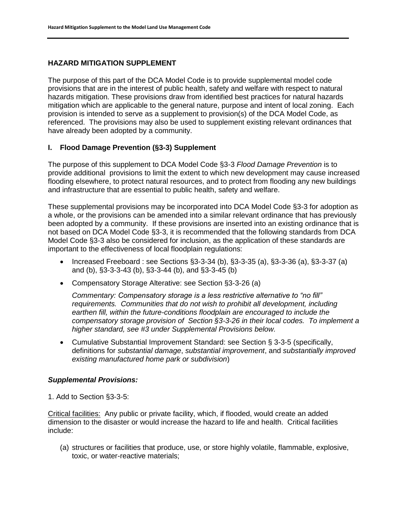#### **HAZARD MITIGATION SUPPLEMENT**

The purpose of this part of the DCA Model Code is to provide supplemental model code provisions that are in the interest of public health, safety and welfare with respect to natural hazards mitigation. These provisions draw from identified best practices for natural hazards mitigation which are applicable to the general nature, purpose and intent of local zoning. Each provision is intended to serve as a supplement to provision(s) of the DCA Model Code, as referenced. The provisions may also be used to supplement existing relevant ordinances that have already been adopted by a community.

#### **I. Flood Damage Prevention (§3-3) Supplement**

The purpose of this supplement to DCA Model Code §3-3 *Flood Damage Prevention* is to provide additional provisions to limit the extent to which new development may cause increased flooding elsewhere, to protect natural resources, and to protect from flooding any new buildings and infrastructure that are essential to public health, safety and welfare.

These supplemental provisions may be incorporated into DCA Model Code §3-3 for adoption as a whole, or the provisions can be amended into a similar relevant ordinance that has previously been adopted by a community. If these provisions are inserted into an existing ordinance that is not based on DCA Model Code §3-3, it is recommended that the following standards from DCA Model Code §3-3 also be considered for inclusion, as the application of these standards are important to the effectiveness of local floodplain regulations:

- Increased Freeboard : see Sections  $\S 3-3-34$  (b),  $\S 3-3-35$  (a),  $\S 3-3-36$  (a),  $\S 3-3-37$  (a) and (b), §3-3-3-43 (b), §3-3-44 (b), and §3-3-45 (b)
- Compensatory Storage Alterative: see Section §3-3-26 (a)

*Commentary: Compensatory storage is a less restrictive alternative to "no fill" requirements. Communities that do not wish to prohibit all development, including earthen fill, within the future-conditions floodplain are encouraged to include the compensatory storage provision of Section §3-3-26 in their local codes. To implement a higher standard, see #3 under Supplemental Provisions below.*

 Cumulative Substantial Improvement Standard: see Section § 3-3-5 (specifically, definitions for *substantial damage*, *substantial improvement*, and *substantially improved existing manufactured home park or subdivision*)

#### *Supplemental Provisions:*

1. Add to Section §3-3-5:

Critical facilities: Any public or private facility, which, if flooded, would create an added dimension to the disaster or would increase the hazard to life and health. Critical facilities include:

(a) structures or facilities that produce, use, or store highly volatile, flammable, explosive, toxic, or water-reactive materials;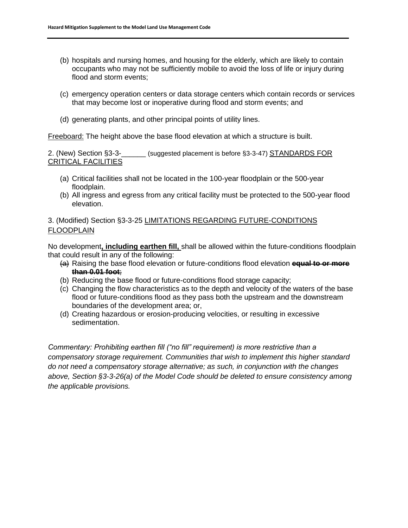- (b) hospitals and nursing homes, and housing for the elderly, which are likely to contain occupants who may not be sufficiently mobile to avoid the loss of life or injury during flood and storm events;
- (c) emergency operation centers or data storage centers which contain records or services that may become lost or inoperative during flood and storm events; and
- (d) generating plants, and other principal points of utility lines.

Freeboard: The height above the base flood elevation at which a structure is built.

2. (New) Section §3-3-\_\_\_\_\_\_ (suggested placement is before §3-3-47) STANDARDS FOR CRITICAL FACILITIES

- (a) Critical facilities shall not be located in the 100-year floodplain or the 500-year floodplain.
- (b) All ingress and egress from any critical facility must be protected to the 500-year flood elevation.

## 3. (Modified) Section §3-3-25 LIMITATIONS REGARDING FUTURE-CONDITIONS FLOODPLAIN

No development**, including earthen fill,** shall be allowed within the future-conditions floodplain that could result in any of the following:

- (a) Raising the base flood elevation or future-conditions flood elevation **equal to or more than 0.01 foot**;
- (b) Reducing the base flood or future-conditions flood storage capacity;
- (c) Changing the flow characteristics as to the depth and velocity of the waters of the base flood or future-conditions flood as they pass both the upstream and the downstream boundaries of the development area; or,
- (d) Creating hazardous or erosion-producing velocities, or resulting in excessive sedimentation.

*Commentary: Prohibiting earthen fill ("no fill" requirement) is more restrictive than a compensatory storage requirement. Communities that wish to implement this higher standard do not need a compensatory storage alternative; as such, in conjunction with the changes above, Section §3-3-26(a) of the Model Code should be deleted to ensure consistency among the applicable provisions.*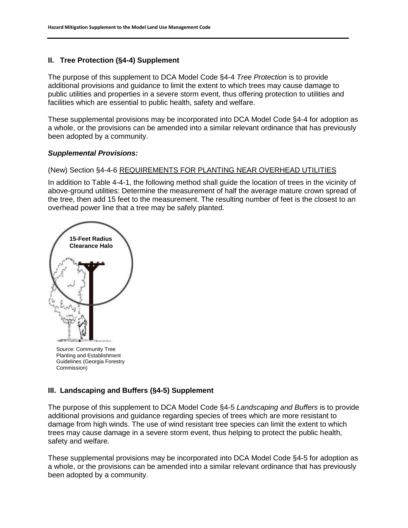# **II. Tree Protection (§4-4) Supplement**

The purpose of this supplement to DCA Model Code §4-4 *Tree Protection* is to provide additional provisions and guidance to limit the extent to which trees may cause damage to public utilities and properties in a severe storm event, thus offering protection to utilities and facilities which are essential to public health, safety and welfare.

These supplemental provisions may be incorporated into DCA Model Code §4-4 for adoption as a whole, or the provisions can be amended into a similar relevant ordinance that has previously been adopted by a community.

#### *Supplemental Provisions:*

#### (New) Section §4-4-6 REQUIREMENTS FOR PLANTING NEAR OVERHEAD UTILITIES

In addition to Table 4-4-1, the following method shall guide the location of trees in the vicinity of above-ground utilities: Determine the measurement of half the average mature crown spread of the tree, then add 15 feet to the measurement. The resulting number of feet is the closest to an overhead power line that a tree may be safely planted.





#### **III. Landscaping and Buffers (§4-5) Supplement**

The purpose of this supplement to DCA Model Code §4-5 *Landscaping and Buffers* is to provide additional provisions and guidance regarding species of trees which are more resistant to damage from high winds. The use of wind resistant tree species can limit the extent to which trees may cause damage in a severe storm event, thus helping to protect the public health, safety and welfare.

These supplemental provisions may be incorporated into DCA Model Code §4-5 for adoption as a whole, or the provisions can be amended into a similar relevant ordinance that has previously been adopted by a community.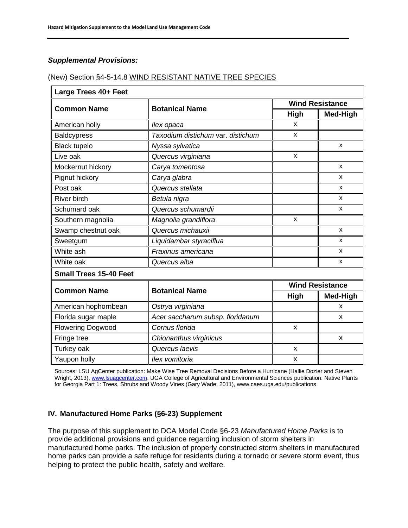# *Supplemental Provisions:*

## (New) Section §4-5-14.8 WIND RESISTANT NATIVE TREE SPECIES

| Large Trees 40+ Feet          |                                   |                        |              |
|-------------------------------|-----------------------------------|------------------------|--------------|
| <b>Common Name</b>            | <b>Botanical Name</b>             | <b>Wind Resistance</b> |              |
|                               |                                   | <b>High</b>            | Med-High     |
| American holly                | llex opaca                        | x                      |              |
| <b>Baldcypress</b>            | Taxodium distichum var. distichum | X                      |              |
| <b>Black tupelo</b>           | Nyssa sylvatica                   |                        | $\mathsf{x}$ |
| Live oak                      | Quercus virginiana                | X                      |              |
| Mockernut hickory             | Carya tomentosa                   |                        | X            |
| Pignut hickory                | Carya glabra                      |                        | X            |
| Post oak                      | Quercus stellata                  |                        | X            |
| <b>River birch</b>            | Betula nigra                      |                        | $\mathsf{x}$ |
| Schumard oak                  | Quercus schumardii                |                        | $\mathsf{x}$ |
| Southern magnolia             | Magnolia grandiflora              | x                      |              |
| Swamp chestnut oak            | Quercus michauxii                 |                        | $\mathsf{x}$ |
| Sweetgum                      | Liquidambar styraciflua           |                        | X            |
| White ash                     | Fraxinus americana                |                        | X            |
| White oak                     | Quercus alba                      |                        | X            |
| <b>Small Trees 15-40 Feet</b> |                                   |                        |              |
| <b>Common Name</b>            | <b>Botanical Name</b>             | <b>Wind Resistance</b> |              |
|                               |                                   | High                   | Med-High     |
| American hophornbean          | Ostrya virginiana                 |                        | X            |
| Florida sugar maple           | Acer saccharum subsp. floridanum  |                        | X            |
| <b>Flowering Dogwood</b>      | Cornus florida                    | X                      |              |
| Fringe tree                   | Chionanthus virginicus            |                        | $\pmb{\chi}$ |
| Turkey oak                    | Quercus laevis                    | X                      |              |
| Yaupon holly                  | Ilex vomitoria                    | X                      |              |

Sources: LSU AgCenter publication: Make Wise Tree Removal Decisions Before a Hurricane (Hallie Dozier and Steven Wright, 2013)[, www.lsuagcenter.com;](http://www.lsuagcenter.com/) UGA College of Agricultural and Environmental Sciences publication: Native Plants for Georgia Part 1: Trees, Shrubs and Woody Vines (Gary Wade, 2011), www.caes.uga.edu/publications

#### **IV. Manufactured Home Parks (§6-23) Supplement**

The purpose of this supplement to DCA Model Code §6-23 *Manufactured Home Parks* is to provide additional provisions and guidance regarding inclusion of storm shelters in manufactured home parks. The inclusion of properly constructed storm shelters in manufactured home parks can provide a safe refuge for residents during a tornado or severe storm event, thus helping to protect the public health, safety and welfare.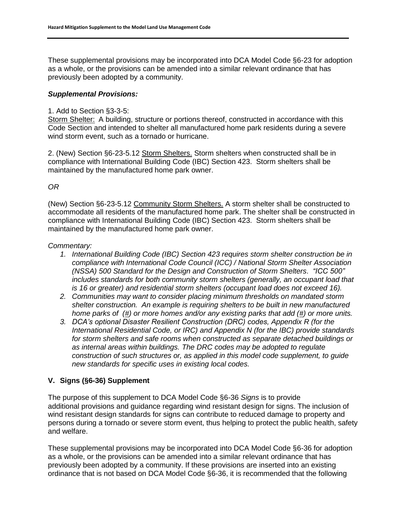These supplemental provisions may be incorporated into DCA Model Code §6-23 for adoption as a whole, or the provisions can be amended into a similar relevant ordinance that has previously been adopted by a community.

#### *Supplemental Provisions:*

## 1. Add to Section §3-3-5:

Storm Shelter: A building, structure or portions thereof, constructed in accordance with this Code Section and intended to shelter all manufactured home park residents during a severe wind storm event, such as a tornado or hurricane.

2. (New) Section §6-23-5.12 Storm Shelters. Storm shelters when constructed shall be in compliance with International Building Code (IBC) Section 423. Storm shelters shall be maintained by the manufactured home park owner.

# *OR*

(New) Section §6-23-5.12 Community Storm Shelters. A storm shelter shall be constructed to accommodate all residents of the manufactured home park. The shelter shall be constructed in compliance with International Building Code (IBC) Section 423. Storm shelters shall be maintained by the manufactured home park owner.

#### *Commentary:*

- *1. International Building Code (IBC) Section 423 requires storm shelter construction be in compliance with International Code Council (ICC) / National Storm Shelter Association (NSSA) 500 Standard for the Design and Construction of Storm Shelters. "ICC 500" includes standards for both community storm shelters (generally, an occupant load that is 16 or greater) and residential storm shelters (occupant load does not exceed 16).*
- *2. Communities may want to consider placing minimum thresholds on mandated storm shelter construction. An example is requiring shelters to be built in new manufactured home parks of (#) or more homes and/or any existing parks that add (#) or more units.*
- *3. DCA's optional Disaster Resilient Construction (DRC) codes, Appendix R (for the International Residential Code, or IRC) and Appendix N (for the IBC) provide standards for storm shelters and safe rooms when constructed as separate detached buildings or as internal areas within buildings. The DRC codes may be adopted to regulate construction of such structures or, as applied in this model code supplement, to guide new standards for specific uses in existing local codes.*

#### **V. Signs (§6-36) Supplement**

The purpose of this supplement to DCA Model Code §6-36 *Signs* is to provide additional provisions and guidance regarding wind resistant design for signs. The inclusion of wind resistant design standards for signs can contribute to reduced damage to property and persons during a tornado or severe storm event, thus helping to protect the public health, safety and welfare.

These supplemental provisions may be incorporated into DCA Model Code §6-36 for adoption as a whole, or the provisions can be amended into a similar relevant ordinance that has previously been adopted by a community. If these provisions are inserted into an existing ordinance that is not based on DCA Model Code §6-36, it is recommended that the following